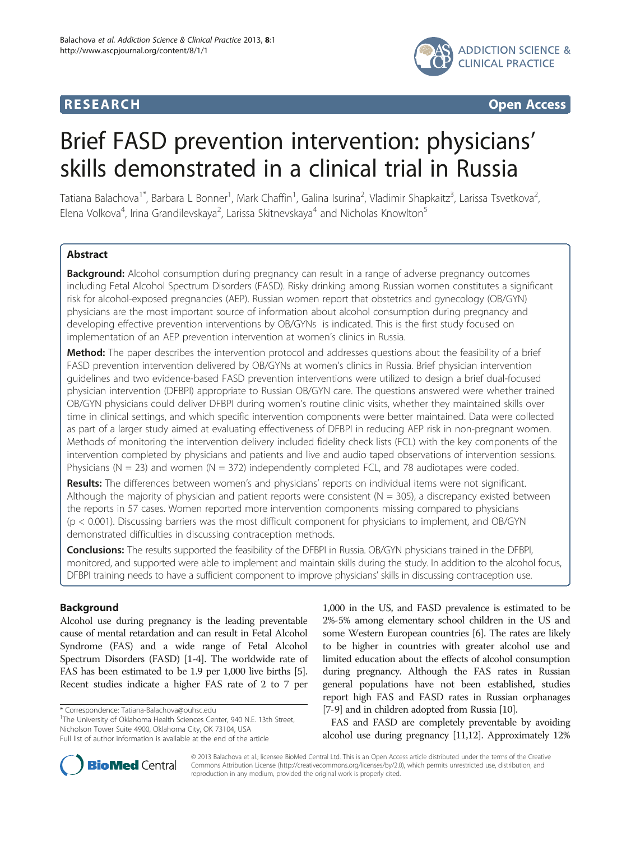# **RESEARCH CHINESE ARCH CHINESE ARCH CHINESE ARCH**



# Brief FASD prevention intervention: physicians' skills demonstrated in a clinical trial in Russia

Tatiana Balachova<sup>1\*</sup>, Barbara L Bonner<sup>1</sup>, Mark Chaffin<sup>1</sup>, Galina Isurina<sup>2</sup>, Vladimir Shapkaitz<sup>3</sup>, Larissa Tsvetkova<sup>2</sup> , Elena Volkova<sup>4</sup>, Irina Grandilevskaya<sup>2</sup>, Larissa Skitnevskaya<sup>4</sup> and Nicholas Knowlton<sup>5</sup>

# **Abstract**

**Background:** Alcohol consumption during pregnancy can result in a range of adverse pregnancy outcomes including Fetal Alcohol Spectrum Disorders (FASD). Risky drinking among Russian women constitutes a significant risk for alcohol-exposed pregnancies (AEP). Russian women report that obstetrics and gynecology (OB/GYN) physicians are the most important source of information about alcohol consumption during pregnancy and developing effective prevention interventions by OB/GYNs is indicated. This is the first study focused on implementation of an AEP prevention intervention at women's clinics in Russia.

**Method:** The paper describes the intervention protocol and addresses questions about the feasibility of a brief FASD prevention intervention delivered by OB/GYNs at women's clinics in Russia. Brief physician intervention guidelines and two evidence-based FASD prevention interventions were utilized to design a brief dual-focused physician intervention (DFBPI) appropriate to Russian OB/GYN care. The questions answered were whether trained OB/GYN physicians could deliver DFBPI during women's routine clinic visits, whether they maintained skills over time in clinical settings, and which specific intervention components were better maintained. Data were collected as part of a larger study aimed at evaluating effectiveness of DFBPI in reducing AEP risk in non-pregnant women. Methods of monitoring the intervention delivery included fidelity check lists (FCL) with the key components of the intervention completed by physicians and patients and live and audio taped observations of intervention sessions. Physicians ( $N = 23$ ) and women ( $N = 372$ ) independently completed FCL, and 78 audiotapes were coded.

Results: The differences between women's and physicians' reports on individual items were not significant. Although the majority of physician and patient reports were consistent ( $N = 305$ ), a discrepancy existed between the reports in 57 cases. Women reported more intervention components missing compared to physicians (p < 0.001). Discussing barriers was the most difficult component for physicians to implement, and OB/GYN demonstrated difficulties in discussing contraception methods.

Conclusions: The results supported the feasibility of the DFBPI in Russia. OB/GYN physicians trained in the DFBPI, monitored, and supported were able to implement and maintain skills during the study. In addition to the alcohol focus, DFBPI training needs to have a sufficient component to improve physicians' skills in discussing contraception use.

# Background

Alcohol use during pregnancy is the leading preventable cause of mental retardation and can result in Fetal Alcohol Syndrome (FAS) and a wide range of Fetal Alcohol Spectrum Disorders (FASD) [\[1-4\]](#page-8-0). The worldwide rate of FAS has been estimated to be 1.9 per 1,000 live births [[5](#page-8-0)]. Recent studies indicate a higher FAS rate of 2 to 7 per

<sup>1</sup>The University of Oklahoma Health Sciences Center, 940 N.E. 13th Street, Nicholson Tower Suite 4900, Oklahoma City, OK 73104, USA Full list of author information is available at the end of the article

1,000 in the US, and FASD prevalence is estimated to be 2%-5% among elementary school children in the US and some Western European countries [\[6\]](#page-8-0). The rates are likely to be higher in countries with greater alcohol use and limited education about the effects of alcohol consumption during pregnancy. Although the FAS rates in Russian general populations have not been established, studies report high FAS and FASD rates in Russian orphanages [[7-9\]](#page-8-0) and in children adopted from Russia [\[10\]](#page-8-0).

FAS and FASD are completely preventable by avoiding alcohol use during pregnancy [[11,12](#page-8-0)]. Approximately 12%



© 2013 Balachova et al.; licensee BioMed Central Ltd. This is an Open Access article distributed under the terms of the Creative Commons Attribution License [\(http://creativecommons.org/licenses/by/2.0\)](http://creativecommons.org/licenses/by/2.0), which permits unrestricted use, distribution, and reproduction in any medium, provided the original work is properly cited.

<sup>\*</sup> Correspondence: [Tatiana-Balachova@ouhsc.edu](mailto:Tatiana-Balachova@ouhsc.edu) <sup>1</sup>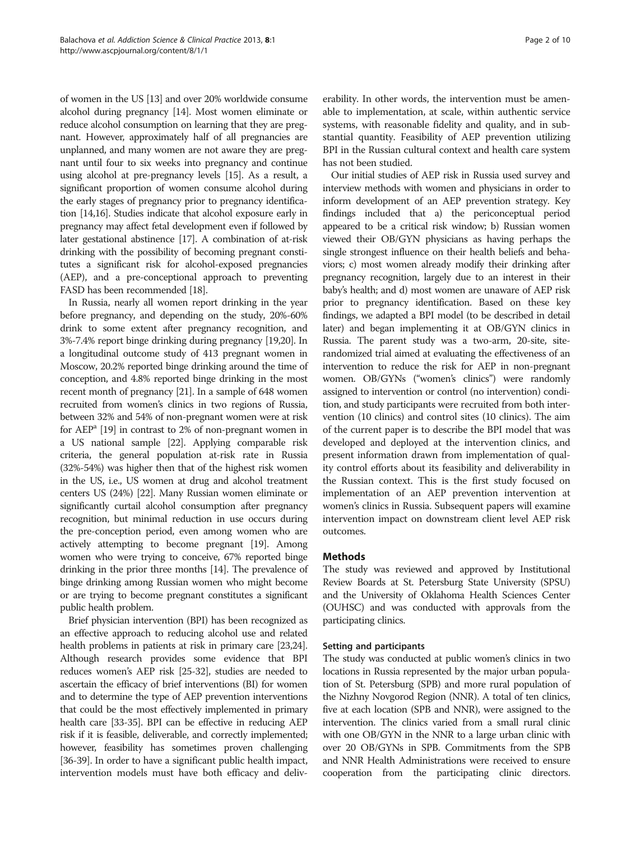of women in the US [\[13\]](#page-8-0) and over 20% worldwide consume alcohol during pregnancy [\[14](#page-8-0)]. Most women eliminate or reduce alcohol consumption on learning that they are pregnant. However, approximately half of all pregnancies are unplanned, and many women are not aware they are pregnant until four to six weeks into pregnancy and continue using alcohol at pre-pregnancy levels [[15\]](#page-8-0). As a result, a significant proportion of women consume alcohol during the early stages of pregnancy prior to pregnancy identification [\[14,16](#page-8-0)]. Studies indicate that alcohol exposure early in pregnancy may affect fetal development even if followed by later gestational abstinence [[17](#page-8-0)]. A combination of at-risk drinking with the possibility of becoming pregnant constitutes a significant risk for alcohol-exposed pregnancies (AEP), and a pre-conceptional approach to preventing FASD has been recommended [[18](#page-8-0)].

In Russia, nearly all women report drinking in the year before pregnancy, and depending on the study, 20%-60% drink to some extent after pregnancy recognition, and 3%-7.4% report binge drinking during pregnancy [\[19,20](#page-8-0)]. In a longitudinal outcome study of 413 pregnant women in Moscow, 20.2% reported binge drinking around the time of conception, and 4.8% reported binge drinking in the most recent month of pregnancy [\[21](#page-8-0)]. In a sample of 648 women recruited from women's clinics in two regions of Russia, between 32% and 54% of non-pregnant women were at risk for AEPa [\[19\]](#page-8-0) in contrast to 2% of non-pregnant women in a US national sample [\[22](#page-8-0)]. Applying comparable risk criteria, the general population at-risk rate in Russia (32%-54%) was higher then that of the highest risk women in the US, i.e., US women at drug and alcohol treatment centers US (24%) [\[22\]](#page-8-0). Many Russian women eliminate or significantly curtail alcohol consumption after pregnancy recognition, but minimal reduction in use occurs during the pre-conception period, even among women who are actively attempting to become pregnant [[19\]](#page-8-0). Among women who were trying to conceive, 67% reported binge drinking in the prior three months [\[14\]](#page-8-0). The prevalence of binge drinking among Russian women who might become or are trying to become pregnant constitutes a significant public health problem.

Brief physician intervention (BPI) has been recognized as an effective approach to reducing alcohol use and related health problems in patients at risk in primary care [[23,24](#page-8-0)]. Although research provides some evidence that BPI reduces women's AEP risk [[25](#page-8-0)-[32\]](#page-8-0), studies are needed to ascertain the efficacy of brief interventions (BI) for women and to determine the type of AEP prevention interventions that could be the most effectively implemented in primary health care [[33-35\]](#page-8-0). BPI can be effective in reducing AEP risk if it is feasible, deliverable, and correctly implemented; however, feasibility has sometimes proven challenging [[36](#page-8-0)-[39\]](#page-9-0). In order to have a significant public health impact, intervention models must have both efficacy and deliverability. In other words, the intervention must be amenable to implementation, at scale, within authentic service systems, with reasonable fidelity and quality, and in substantial quantity. Feasibility of AEP prevention utilizing BPI in the Russian cultural context and health care system has not been studied.

Our initial studies of AEP risk in Russia used survey and interview methods with women and physicians in order to inform development of an AEP prevention strategy. Key findings included that a) the periconceptual period appeared to be a critical risk window; b) Russian women viewed their OB/GYN physicians as having perhaps the single strongest influence on their health beliefs and behaviors; c) most women already modify their drinking after pregnancy recognition, largely due to an interest in their baby's health; and d) most women are unaware of AEP risk prior to pregnancy identification. Based on these key findings, we adapted a BPI model (to be described in detail later) and began implementing it at OB/GYN clinics in Russia. The parent study was a two-arm, 20-site, siterandomized trial aimed at evaluating the effectiveness of an intervention to reduce the risk for AEP in non-pregnant women. OB/GYNs ("women's clinics") were randomly assigned to intervention or control (no intervention) condition, and study participants were recruited from both intervention (10 clinics) and control sites (10 clinics). The aim of the current paper is to describe the BPI model that was developed and deployed at the intervention clinics, and present information drawn from implementation of quality control efforts about its feasibility and deliverability in the Russian context. This is the first study focused on implementation of an AEP prevention intervention at women's clinics in Russia. Subsequent papers will examine intervention impact on downstream client level AEP risk outcomes.

# Methods

The study was reviewed and approved by Institutional Review Boards at St. Petersburg State University (SPSU) and the University of Oklahoma Health Sciences Center (OUHSC) and was conducted with approvals from the participating clinics.

# Setting and participants

The study was conducted at public women's clinics in two locations in Russia represented by the major urban population of St. Petersburg (SPB) and more rural population of the Nizhny Novgorod Region (NNR). A total of ten clinics, five at each location (SPB and NNR), were assigned to the intervention. The clinics varied from a small rural clinic with one OB/GYN in the NNR to a large urban clinic with over 20 OB/GYNs in SPB. Commitments from the SPB and NNR Health Administrations were received to ensure cooperation from the participating clinic directors.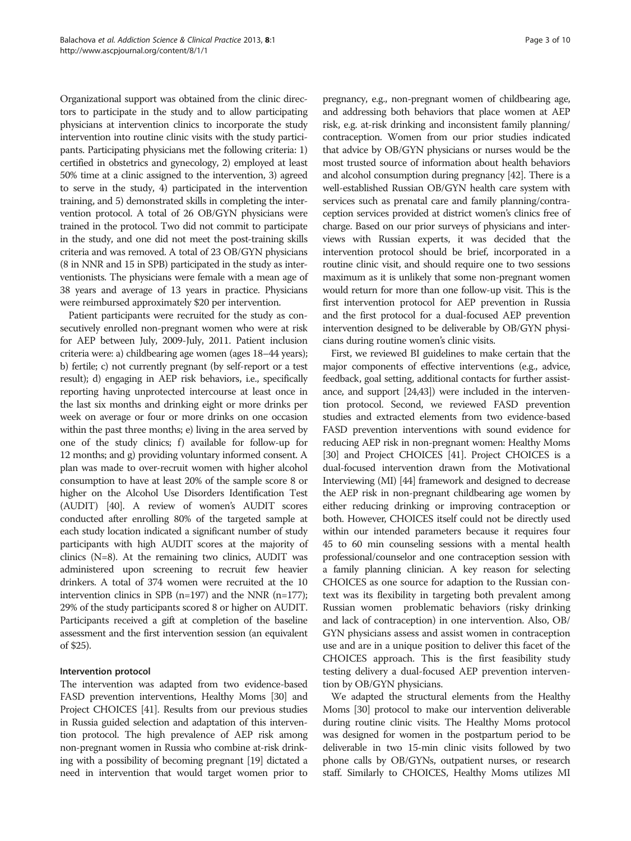Organizational support was obtained from the clinic directors to participate in the study and to allow participating physicians at intervention clinics to incorporate the study intervention into routine clinic visits with the study participants. Participating physicians met the following criteria: 1) certified in obstetrics and gynecology, 2) employed at least 50% time at a clinic assigned to the intervention, 3) agreed to serve in the study, 4) participated in the intervention training, and 5) demonstrated skills in completing the intervention protocol. A total of 26 OB/GYN physicians were trained in the protocol. Two did not commit to participate in the study, and one did not meet the post-training skills criteria and was removed. A total of 23 OB/GYN physicians (8 in NNR and 15 in SPB) participated in the study as interventionists. The physicians were female with a mean age of 38 years and average of 13 years in practice. Physicians were reimbursed approximately \$20 per intervention.

Patient participants were recruited for the study as consecutively enrolled non-pregnant women who were at risk for AEP between July, 2009-July, 2011. Patient inclusion criteria were: a) childbearing age women (ages 18–44 years); b) fertile; c) not currently pregnant (by self-report or a test result); d) engaging in AEP risk behaviors, i.e., specifically reporting having unprotected intercourse at least once in the last six months and drinking eight or more drinks per week on average or four or more drinks on one occasion within the past three months; e) living in the area served by one of the study clinics; f) available for follow-up for 12 months; and g) providing voluntary informed consent. A plan was made to over-recruit women with higher alcohol consumption to have at least 20% of the sample score 8 or higher on the Alcohol Use Disorders Identification Test (AUDIT) [\[40\]](#page-9-0). A review of women's AUDIT scores conducted after enrolling 80% of the targeted sample at each study location indicated a significant number of study participants with high AUDIT scores at the majority of clinics (N=8). At the remaining two clinics, AUDIT was administered upon screening to recruit few heavier drinkers. A total of 374 women were recruited at the 10 intervention clinics in SPB (n=197) and the NNR (n=177); 29% of the study participants scored 8 or higher on AUDIT. Participants received a gift at completion of the baseline assessment and the first intervention session (an equivalent of \$25).

# Intervention protocol

The intervention was adapted from two evidence-based FASD prevention interventions, Healthy Moms [[30](#page-8-0)] and Project CHOICES [\[41\]](#page-9-0). Results from our previous studies in Russia guided selection and adaptation of this intervention protocol. The high prevalence of AEP risk among non-pregnant women in Russia who combine at-risk drinking with a possibility of becoming pregnant [\[19\]](#page-8-0) dictated a need in intervention that would target women prior to

pregnancy, e.g., non-pregnant women of childbearing age, and addressing both behaviors that place women at AEP risk, e.g. at-risk drinking and inconsistent family planning/ contraception. Women from our prior studies indicated that advice by OB/GYN physicians or nurses would be the most trusted source of information about health behaviors and alcohol consumption during pregnancy [\[42\]](#page-9-0). There is a well-established Russian OB/GYN health care system with services such as prenatal care and family planning/contraception services provided at district women's clinics free of charge. Based on our prior surveys of physicians and interviews with Russian experts, it was decided that the intervention protocol should be brief, incorporated in a routine clinic visit, and should require one to two sessions maximum as it is unlikely that some non-pregnant women would return for more than one follow-up visit. This is the first intervention protocol for AEP prevention in Russia and the first protocol for a dual-focused AEP prevention intervention designed to be deliverable by OB/GYN physicians during routine women's clinic visits.

First, we reviewed BI guidelines to make certain that the major components of effective interventions (e.g., advice, feedback, goal setting, additional contacts for further assistance, and support [\[24](#page-8-0)[,43\]](#page-9-0)) were included in the intervention protocol. Second, we reviewed FASD prevention studies and extracted elements from two evidence-based FASD prevention interventions with sound evidence for reducing AEP risk in non-pregnant women: Healthy Moms [[30](#page-8-0)] and Project CHOICES [[41](#page-9-0)]. Project CHOICES is a dual-focused intervention drawn from the Motivational Interviewing (MI) [\[44](#page-9-0)] framework and designed to decrease the AEP risk in non-pregnant childbearing age women by either reducing drinking or improving contraception or both. However, CHOICES itself could not be directly used within our intended parameters because it requires four 45 to 60 min counseling sessions with a mental health professional/counselor and one contraception session with a family planning clinician. A key reason for selecting CHOICES as one source for adaption to the Russian context was its flexibility in targeting both prevalent among Russian women problematic behaviors (risky drinking and lack of contraception) in one intervention. Also, OB/ GYN physicians assess and assist women in contraception use and are in a unique position to deliver this facet of the CHOICES approach. This is the first feasibility study testing delivery a dual-focused AEP prevention intervention by OB/GYN physicians.

We adapted the structural elements from the Healthy Moms [\[30\]](#page-8-0) protocol to make our intervention deliverable during routine clinic visits. The Healthy Moms protocol was designed for women in the postpartum period to be deliverable in two 15-min clinic visits followed by two phone calls by OB/GYNs, outpatient nurses, or research staff. Similarly to CHOICES, Healthy Moms utilizes MI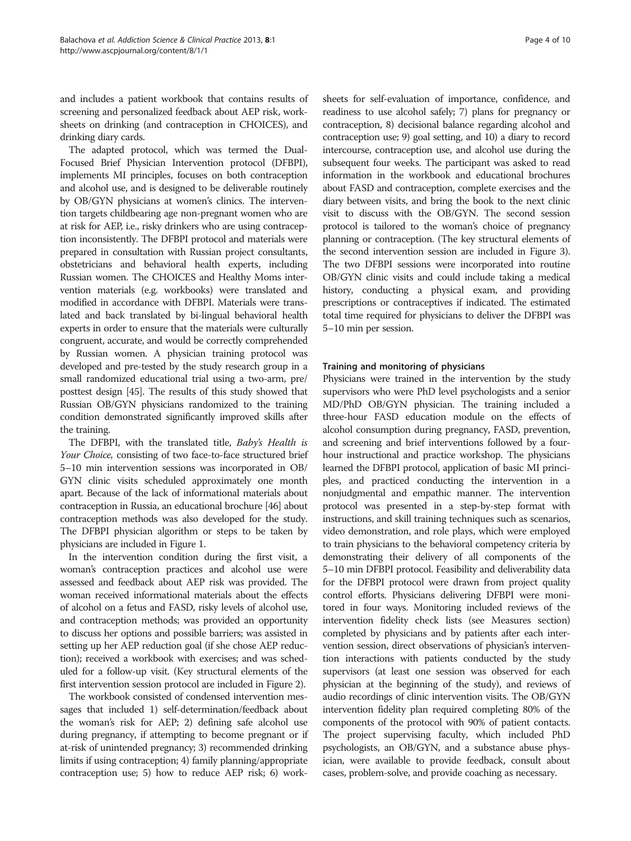and includes a patient workbook that contains results of screening and personalized feedback about AEP risk, worksheets on drinking (and contraception in CHOICES), and drinking diary cards.

The adapted protocol, which was termed the Dual-Focused Brief Physician Intervention protocol (DFBPI), implements MI principles, focuses on both contraception and alcohol use, and is designed to be deliverable routinely by OB/GYN physicians at women's clinics. The intervention targets childbearing age non-pregnant women who are at risk for AEP, i.e., risky drinkers who are using contraception inconsistently. The DFBPI protocol and materials were prepared in consultation with Russian project consultants, obstetricians and behavioral health experts, including Russian women. The CHOICES and Healthy Moms intervention materials (e.g. workbooks) were translated and modified in accordance with DFBPI. Materials were translated and back translated by bi-lingual behavioral health experts in order to ensure that the materials were culturally congruent, accurate, and would be correctly comprehended by Russian women. A physician training protocol was developed and pre-tested by the study research group in a small randomized educational trial using a two-arm, pre/ posttest design [\[45\]](#page-9-0). The results of this study showed that Russian OB/GYN physicians randomized to the training condition demonstrated significantly improved skills after the training.

The DFBPI, with the translated title, Baby's Health is Your Choice, consisting of two face-to-face structured brief 5–10 min intervention sessions was incorporated in OB/ GYN clinic visits scheduled approximately one month apart. Because of the lack of informational materials about contraception in Russia, an educational brochure [\[46\]](#page-9-0) about contraception methods was also developed for the study. The DFBPI physician algorithm or steps to be taken by physicians are included in Figure [1](#page-4-0).

In the intervention condition during the first visit, a woman's contraception practices and alcohol use were assessed and feedback about AEP risk was provided. The woman received informational materials about the effects of alcohol on a fetus and FASD, risky levels of alcohol use, and contraception methods; was provided an opportunity to discuss her options and possible barriers; was assisted in setting up her AEP reduction goal (if she chose AEP reduction); received a workbook with exercises; and was scheduled for a follow-up visit. (Key structural elements of the first intervention session protocol are included in Figure [2\)](#page-4-0).

The workbook consisted of condensed intervention messages that included 1) self-determination/feedback about the woman's risk for AEP; 2) defining safe alcohol use during pregnancy, if attempting to become pregnant or if at-risk of unintended pregnancy; 3) recommended drinking limits if using contraception; 4) family planning/appropriate contraception use; 5) how to reduce AEP risk; 6) work-

sheets for self-evaluation of importance, confidence, and readiness to use alcohol safely; 7) plans for pregnancy or contraception, 8) decisional balance regarding alcohol and contraception use; 9) goal setting, and 10) a diary to record intercourse, contraception use, and alcohol use during the subsequent four weeks. The participant was asked to read information in the workbook and educational brochures about FASD and contraception, complete exercises and the diary between visits, and bring the book to the next clinic visit to discuss with the OB/GYN. The second session protocol is tailored to the woman's choice of pregnancy planning or contraception. (The key structural elements of the second intervention session are included in Figure [3](#page-5-0)). The two DFBPI sessions were incorporated into routine OB/GYN clinic visits and could include taking a medical history, conducting a physical exam, and providing prescriptions or contraceptives if indicated. The estimated total time required for physicians to deliver the DFBPI was 5–10 min per session.

#### Training and monitoring of physicians

Physicians were trained in the intervention by the study supervisors who were PhD level psychologists and a senior MD/PhD OB/GYN physician. The training included a three-hour FASD education module on the effects of alcohol consumption during pregnancy, FASD, prevention, and screening and brief interventions followed by a fourhour instructional and practice workshop. The physicians learned the DFBPI protocol, application of basic MI principles, and practiced conducting the intervention in a nonjudgmental and empathic manner. The intervention protocol was presented in a step-by-step format with instructions, and skill training techniques such as scenarios, video demonstration, and role plays, which were employed to train physicians to the behavioral competency criteria by demonstrating their delivery of all components of the 5–10 min DFBPI protocol. Feasibility and deliverability data for the DFBPI protocol were drawn from project quality control efforts. Physicians delivering DFBPI were monitored in four ways. Monitoring included reviews of the intervention fidelity check lists (see [Measures](#page-4-0) section) completed by physicians and by patients after each intervention session, direct observations of physician's intervention interactions with patients conducted by the study supervisors (at least one session was observed for each physician at the beginning of the study), and reviews of audio recordings of clinic intervention visits. The OB/GYN intervention fidelity plan required completing 80% of the components of the protocol with 90% of patient contacts. The project supervising faculty, which included PhD psychologists, an OB/GYN, and a substance abuse physician, were available to provide feedback, consult about cases, problem-solve, and provide coaching as necessary.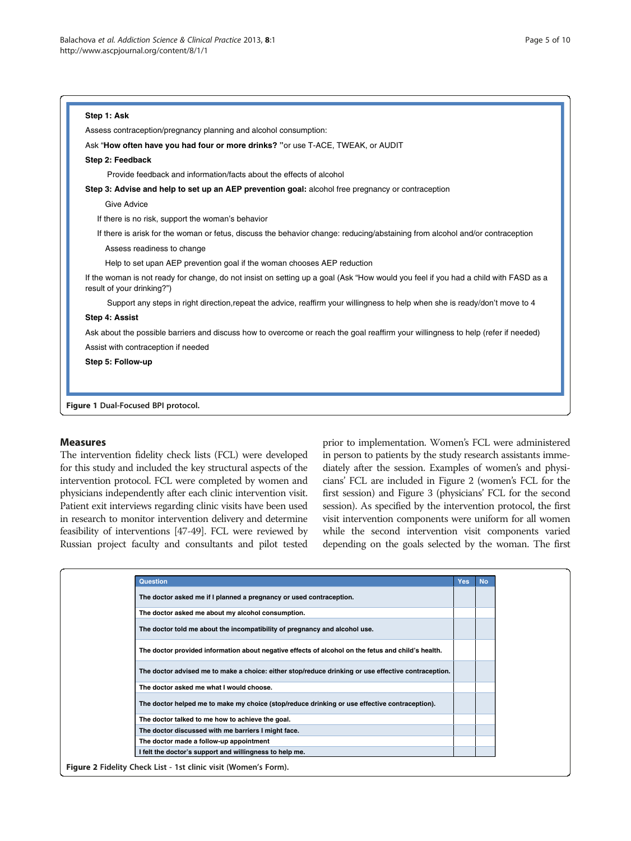<span id="page-4-0"></span>

| Assess contraception/pregnancy planning and alcohol consumption:                                                                                                  |
|-------------------------------------------------------------------------------------------------------------------------------------------------------------------|
| Ask "How often have you had four or more drinks? "or use T-ACE, TWEAK, or AUDIT                                                                                   |
| Step 2: Feedback                                                                                                                                                  |
| Provide feedback and information/facts about the effects of alcohol                                                                                               |
| Step 3: Advise and help to set up an AEP prevention goal: alcohol free pregnancy or contraception                                                                 |
| Give Advice                                                                                                                                                       |
| If there is no risk, support the woman's behavior                                                                                                                 |
| If there is arisk for the woman or fetus, discuss the behavior change: reducing/abstaining from alcohol and/or contraception                                      |
| Assess readiness to change                                                                                                                                        |
| Help to set upan AEP prevention goal if the woman chooses AEP reduction                                                                                           |
| If the woman is not ready for change, do not insist on setting up a goal (Ask "How would you feel if you had a child with FASD as a<br>result of your drinking?") |
| Support any steps in right direction, repeat the advice, reaffirm your willingness to help when she is ready/don't move to 4                                      |
| Step 4: Assist                                                                                                                                                    |
| Ask about the possible barriers and discuss how to overcome or reach the goal reaffirm your willingness to help (refer if needed)                                 |
| Assist with contraception if needed                                                                                                                               |
| Step 5: Follow-up                                                                                                                                                 |
|                                                                                                                                                                   |

### Measures

The intervention fidelity check lists (FCL) were developed for this study and included the key structural aspects of the intervention protocol. FCL were completed by women and physicians independently after each clinic intervention visit. Patient exit interviews regarding clinic visits have been used in research to monitor intervention delivery and determine feasibility of interventions [[47-49\]](#page-9-0). FCL were reviewed by Russian project faculty and consultants and pilot tested prior to implementation. Women's FCL were administered in person to patients by the study research assistants immediately after the session. Examples of women's and physicians' FCL are included in Figure 2 (women's FCL for the first session) and Figure [3](#page-5-0) (physicians' FCL for the second session). As specified by the intervention protocol, the first visit intervention components were uniform for all women while the second intervention visit components varied depending on the goals selected by the woman. The first

| <b>Question</b>                                                                                     | <b>Yes</b> | <b>No</b> |
|-----------------------------------------------------------------------------------------------------|------------|-----------|
| The doctor asked me if I planned a pregnancy or used contraception.                                 |            |           |
| The doctor asked me about my alcohol consumption.                                                   |            |           |
| The doctor told me about the incompatibility of pregnancy and alcohol use.                          |            |           |
| The doctor provided information about negative effects of alcohol on the fetus and child's health.  |            |           |
| The doctor advised me to make a choice: either stop/reduce drinking or use effective contraception. |            |           |
| The doctor asked me what I would choose.                                                            |            |           |
| The doctor helped me to make my choice (stop/reduce drinking or use effective contraception).       |            |           |
| The doctor talked to me how to achieve the goal.                                                    |            |           |
| The doctor discussed with me barriers I might face.                                                 |            |           |
| The doctor made a follow-up appointment                                                             |            |           |
| I felt the doctor's support and willingness to help me.                                             |            |           |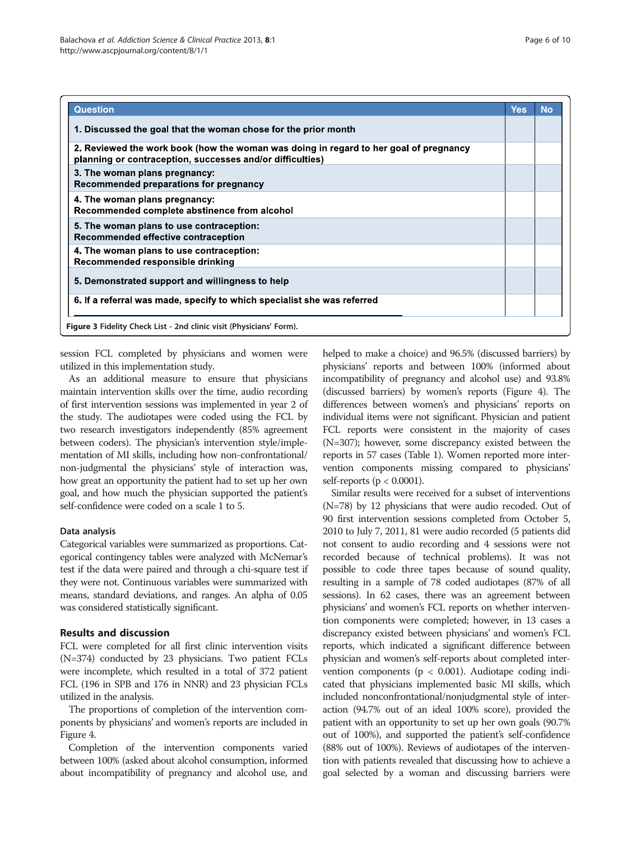<span id="page-5-0"></span>

| <b>Question</b>                                                                                                                                    | <b>Yes</b> | No |  |  |  |
|----------------------------------------------------------------------------------------------------------------------------------------------------|------------|----|--|--|--|
| 1. Discussed the goal that the woman chose for the prior month                                                                                     |            |    |  |  |  |
| 2. Reviewed the work book (how the woman was doing in regard to her goal of pregnancy<br>planning or contraception, successes and/or difficulties) |            |    |  |  |  |
| 3. The woman plans pregnancy:<br>Recommended preparations for pregnancy                                                                            |            |    |  |  |  |
| 4. The woman plans pregnancy:<br>Recommended complete abstinence from alcohol                                                                      |            |    |  |  |  |
| 5. The woman plans to use contraception:<br>Recommended effective contraception                                                                    |            |    |  |  |  |
| 4. The woman plans to use contraception:<br>Recommended responsible drinking                                                                       |            |    |  |  |  |
| 5. Demonstrated support and willingness to help                                                                                                    |            |    |  |  |  |
| 6. If a referral was made, specify to which specialist she was referred                                                                            |            |    |  |  |  |
| Figure 3 Fidelity Check List - 2nd clinic visit (Physicians' Form).                                                                                |            |    |  |  |  |

session FCL completed by physicians and women were utilized in this implementation study.

As an additional measure to ensure that physicians maintain intervention skills over the time, audio recording of first intervention sessions was implemented in year 2 of the study. The audiotapes were coded using the FCL by two research investigators independently (85% agreement between coders). The physician's intervention style/implementation of MI skills, including how non-confrontational/ non-judgmental the physicians' style of interaction was, how great an opportunity the patient had to set up her own goal, and how much the physician supported the patient's self-confidence were coded on a scale 1 to 5.

# Data analysis

Categorical variables were summarized as proportions. Categorical contingency tables were analyzed with McNemar's test if the data were paired and through a chi-square test if they were not. Continuous variables were summarized with means, standard deviations, and ranges. An alpha of 0.05 was considered statistically significant.

# Results and discussion

FCL were completed for all first clinic intervention visits (N=374) conducted by 23 physicians. Two patient FCLs were incomplete, which resulted in a total of 372 patient FCL (196 in SPB and 176 in NNR) and 23 physician FCLs utilized in the analysis.

The proportions of completion of the intervention components by physicians' and women's reports are included in Figure [4.](#page-6-0)

Completion of the intervention components varied between 100% (asked about alcohol consumption, informed about incompatibility of pregnancy and alcohol use, and helped to make a choice) and 96.5% (discussed barriers) by physicians' reports and between 100% (informed about incompatibility of pregnancy and alcohol use) and 93.8% (discussed barriers) by women's reports (Figure [4\)](#page-6-0). The differences between women's and physicians' reports on individual items were not significant. Physician and patient FCL reports were consistent in the majority of cases (N=307); however, some discrepancy existed between the reports in 57 cases (Table [1\)](#page-7-0). Women reported more intervention components missing compared to physicians' self-reports ( $p < 0.0001$ ).

Similar results were received for a subset of interventions (N=78) by 12 physicians that were audio recoded. Out of 90 first intervention sessions completed from October 5, 2010 to July 7, 2011, 81 were audio recorded (5 patients did not consent to audio recording and 4 sessions were not recorded because of technical problems). It was not possible to code three tapes because of sound quality, resulting in a sample of 78 coded audiotapes (87% of all sessions). In 62 cases, there was an agreement between physicians' and women's FCL reports on whether intervention components were completed; however, in 13 cases a discrepancy existed between physicians' and women's FCL reports, which indicated a significant difference between physician and women's self-reports about completed intervention components ( $p < 0.001$ ). Audiotape coding indicated that physicians implemented basic MI skills, which included nonconfrontational/nonjudgmental style of interaction (94.7% out of an ideal 100% score), provided the patient with an opportunity to set up her own goals (90.7% out of 100%), and supported the patient's self-confidence (88% out of 100%). Reviews of audiotapes of the intervention with patients revealed that discussing how to achieve a goal selected by a woman and discussing barriers were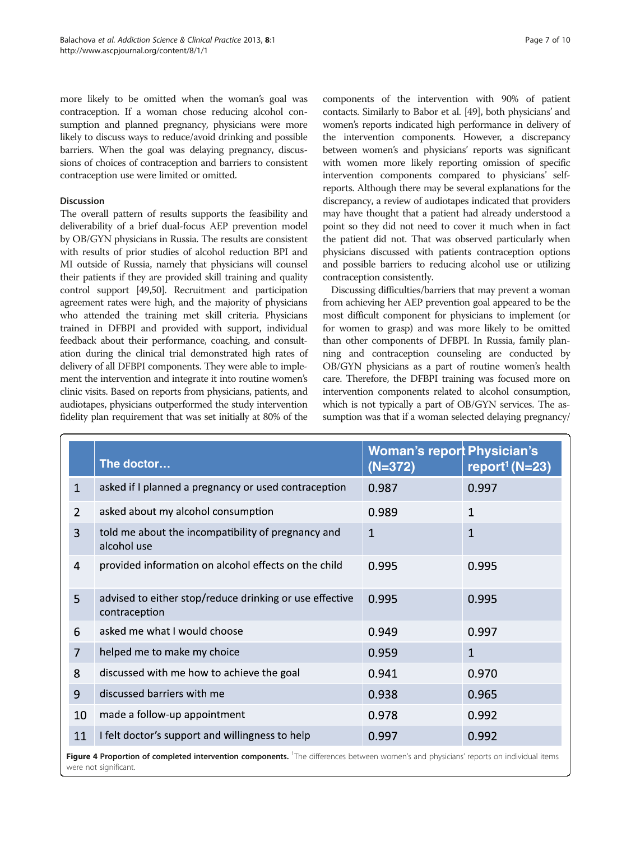<span id="page-6-0"></span>more likely to be omitted when the woman's goal was contraception. If a woman chose reducing alcohol consumption and planned pregnancy, physicians were more likely to discuss ways to reduce/avoid drinking and possible barriers. When the goal was delaying pregnancy, discussions of choices of contraception and barriers to consistent contraception use were limited or omitted.

#### Discussion

The overall pattern of results supports the feasibility and deliverability of a brief dual-focus AEP prevention model by OB/GYN physicians in Russia. The results are consistent with results of prior studies of alcohol reduction BPI and MI outside of Russia, namely that physicians will counsel their patients if they are provided skill training and quality control support [[49,50](#page-9-0)]. Recruitment and participation agreement rates were high, and the majority of physicians who attended the training met skill criteria. Physicians trained in DFBPI and provided with support, individual feedback about their performance, coaching, and consultation during the clinical trial demonstrated high rates of delivery of all DFBPI components. They were able to implement the intervention and integrate it into routine women's clinic visits. Based on reports from physicians, patients, and audiotapes, physicians outperformed the study intervention fidelity plan requirement that was set initially at 80% of the

components of the intervention with 90% of patient contacts. Similarly to Babor et al. [\[49\]](#page-9-0), both physicians' and women's reports indicated high performance in delivery of the intervention components. However, a discrepancy between women's and physicians' reports was significant with women more likely reporting omission of specific intervention components compared to physicians' selfreports. Although there may be several explanations for the discrepancy, a review of audiotapes indicated that providers may have thought that a patient had already understood a point so they did not need to cover it much when in fact the patient did not. That was observed particularly when physicians discussed with patients contraception options and possible barriers to reducing alcohol use or utilizing contraception consistently.

Discussing difficulties/barriers that may prevent a woman from achieving her AEP prevention goal appeared to be the most difficult component for physicians to implement (or for women to grasp) and was more likely to be omitted than other components of DFBPI. In Russia, family planning and contraception counseling are conducted by OB/GYN physicians as a part of routine women's health care. Therefore, the DFBPI training was focused more on intervention components related to alcohol consumption, which is not typically a part of OB/GYN services. The assumption was that if a woman selected delaying pregnancy/

|                | The doctor                                                               | <b>Woman's report Physician's</b><br>$(N=372)$ | report <sup>1</sup> ( $N=23$ ) |
|----------------|--------------------------------------------------------------------------|------------------------------------------------|--------------------------------|
| $\mathbf{1}$   | asked if I planned a pregnancy or used contraception                     | 0.987                                          | 0.997                          |
| 2              | asked about my alcohol consumption                                       | 0.989                                          | $\mathbf{1}$                   |
| 3              | told me about the incompatibility of pregnancy and<br>alcohol use        | $\mathbf{1}$                                   | $\mathbf{1}$                   |
| 4              | provided information on alcohol effects on the child                     | 0.995                                          | 0.995                          |
| 5.             | advised to either stop/reduce drinking or use effective<br>contraception | 0.995                                          | 0.995                          |
| 6              | asked me what I would choose                                             | 0.949                                          | 0.997                          |
| $\overline{7}$ | helped me to make my choice                                              | 0.959                                          | $\mathbf{1}$                   |
| 8              | discussed with me how to achieve the goal                                | 0.941                                          | 0.970                          |
| 9              | discussed barriers with me                                               | 0.938                                          | 0.965                          |
| 10             | made a follow-up appointment                                             | 0.978                                          | 0.992                          |
| 11             | I felt doctor's support and willingness to help                          | 0.997                                          | 0.992                          |

Figure 4 Proportion of completed intervention components. <sup>1</sup>The differences between women's and physicians' reports on individual items were not significant.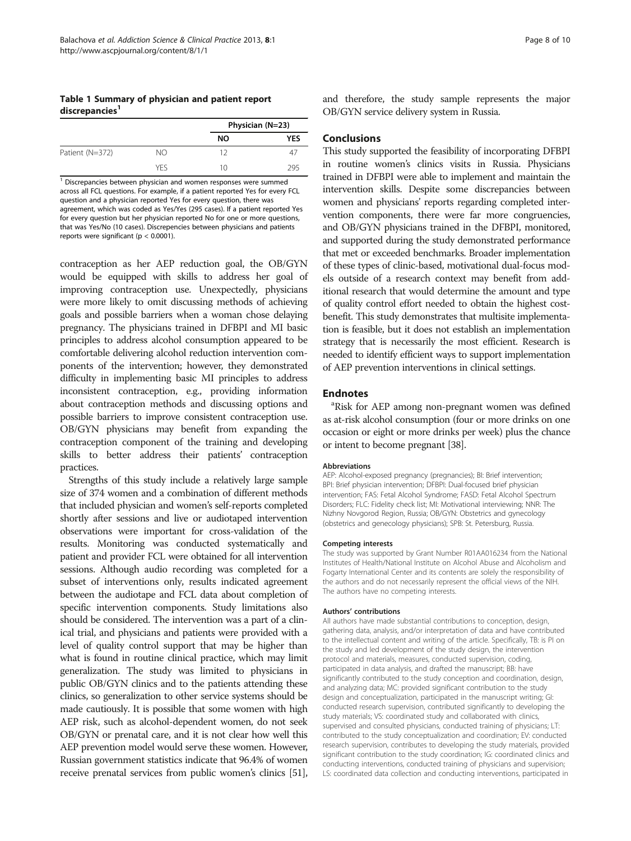<span id="page-7-0"></span>Table 1 Summary of physician and patient report discrepancies<sup>1</sup>

|                 |     | Physician (N=23) |     |
|-----------------|-----|------------------|-----|
|                 |     | <b>NO</b>        | YES |
| Patient (N=372) | NO. | כו               | 47  |
|                 | YFς | 10               | 295 |

<sup>1</sup> Discrepancies between physician and women responses were summed across all FCL questions. For example, if a patient reported Yes for every FCL question and a physician reported Yes for every question, there was agreement, which was coded as Yes/Yes (295 cases). If a patient reported Yes for every question but her physician reported No for one or more questions, that was Yes/No (10 cases). Discrepencies between physicians and patients reports were significant ( $p < 0.0001$ ).

contraception as her AEP reduction goal, the OB/GYN would be equipped with skills to address her goal of improving contraception use. Unexpectedly, physicians were more likely to omit discussing methods of achieving goals and possible barriers when a woman chose delaying pregnancy. The physicians trained in DFBPI and MI basic principles to address alcohol consumption appeared to be comfortable delivering alcohol reduction intervention components of the intervention; however, they demonstrated difficulty in implementing basic MI principles to address inconsistent contraception, e.g., providing information about contraception methods and discussing options and possible barriers to improve consistent contraception use. OB/GYN physicians may benefit from expanding the contraception component of the training and developing skills to better address their patients' contraception practices.

Strengths of this study include a relatively large sample size of 374 women and a combination of different methods that included physician and women's self-reports completed shortly after sessions and live or audiotaped intervention observations were important for cross-validation of the results. Monitoring was conducted systematically and patient and provider FCL were obtained for all intervention sessions. Although audio recording was completed for a subset of interventions only, results indicated agreement between the audiotape and FCL data about completion of specific intervention components. Study limitations also should be considered. The intervention was a part of a clinical trial, and physicians and patients were provided with a level of quality control support that may be higher than what is found in routine clinical practice, which may limit generalization. The study was limited to physicians in public OB/GYN clinics and to the patients attending these clinics, so generalization to other service systems should be made cautiously. It is possible that some women with high AEP risk, such as alcohol-dependent women, do not seek OB/GYN or prenatal care, and it is not clear how well this AEP prevention model would serve these women. However, Russian government statistics indicate that 96.4% of women receive prenatal services from public women's clinics [\[51](#page-9-0)],

and therefore, the study sample represents the major OB/GYN service delivery system in Russia.

#### Conclusions

This study supported the feasibility of incorporating DFBPI in routine women's clinics visits in Russia. Physicians trained in DFBPI were able to implement and maintain the intervention skills. Despite some discrepancies between women and physicians' reports regarding completed intervention components, there were far more congruencies, and OB/GYN physicians trained in the DFBPI, monitored, and supported during the study demonstrated performance that met or exceeded benchmarks. Broader implementation of these types of clinic-based, motivational dual-focus models outside of a research context may benefit from additional research that would determine the amount and type of quality control effort needed to obtain the highest costbenefit. This study demonstrates that multisite implementation is feasible, but it does not establish an implementation strategy that is necessarily the most efficient. Research is needed to identify efficient ways to support implementation of AEP prevention interventions in clinical settings.

#### **Endnotes**

<sup>a</sup>Risk for AEP among non-pregnant women was defined as at-risk alcohol consumption (four or more drinks on one occasion or eight or more drinks per week) plus the chance or intent to become pregnant [[38](#page-8-0)].

#### Abbreviations

AEP: Alcohol-exposed pregnancy (pregnancies); BI: Brief intervention; BPI: Brief physician intervention; DFBPI: Dual-focused brief physician intervention; FAS: Fetal Alcohol Syndrome; FASD: Fetal Alcohol Spectrum Disorders; FLC: Fidelity check list; MI: Motivational interviewing; NNR: The Nizhny Novgorod Region, Russia; OB/GYN: Obstetrics and gynecology (obstetrics and genecology physicians); SPB: St. Petersburg, Russia.

#### Competing interests

The study was supported by Grant Number R01AA016234 from the National Institutes of Health/National Institute on Alcohol Abuse and Alcoholism and Fogarty International Center and its contents are solely the responsibility of the authors and do not necessarily represent the official views of the NIH. The authors have no competing interests.

#### Authors' contributions

All authors have made substantial contributions to conception, design, gathering data, analysis, and/or interpretation of data and have contributed to the intellectual content and writing of the article. Specifically, TB: is PI on the study and led development of the study design, the intervention protocol and materials, measures, conducted supervision, coding, participated in data analysis, and drafted the manuscript; BB: have significantly contributed to the study conception and coordination, design, and analyzing data; MC: provided significant contribution to the study design and conceptualization, participated in the manuscript writing; GI: conducted research supervision, contributed significantly to developing the study materials; VS: coordinated study and collaborated with clinics, supervised and consulted physicians, conducted training of physicians; LT: contributed to the study conceptualization and coordination; EV: conducted research supervision, contributes to developing the study materials, provided significant contribution to the study coordination; IG: coordinated clinics and conducting interventions, conducted training of physicians and supervision; LS: coordinated data collection and conducting interventions, participated in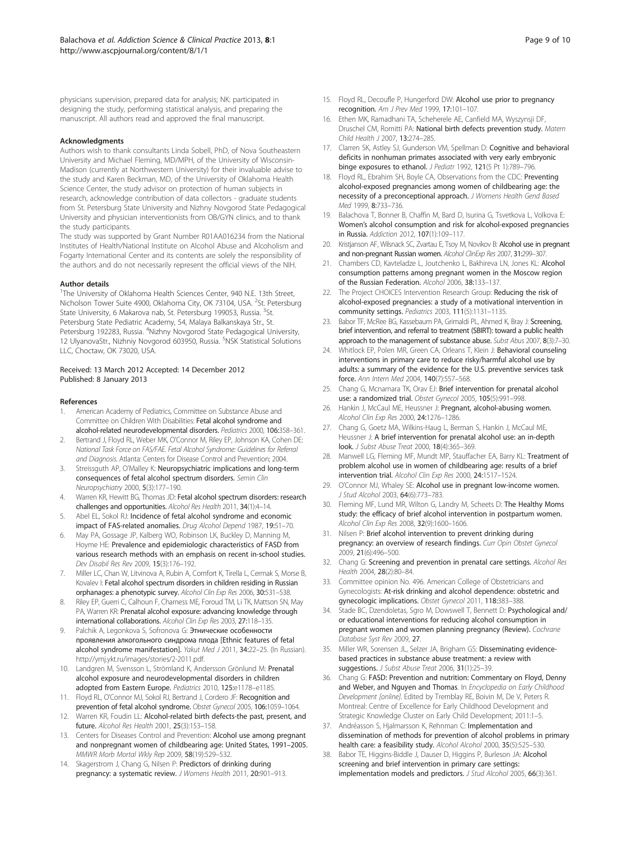<span id="page-8-0"></span>physicians supervision, prepared data for analysis; NK: participated in designing the study, performing statistical analysis, and preparing the manuscript. All authors read and approved the final manuscript.

#### Acknowledgments

Authors wish to thank consultants Linda Sobell, PhD, of Nova Southeastern University and Michael Fleming, MD/MPH, of the University of Wisconsin-Madison (currently at Northwestern University) for their invaluable advise to the study and Karen Beckman, MD, of the University of Oklahoma Health Science Center, the study advisor on protection of human subjects in research, acknowledge contribution of data collectors - graduate students from St. Petersburg State University and Nizhny Novgorod State Pedagogical University and physician interventionists from OB/GYN clinics, and to thank the study participants.

The study was supported by Grant Number R01AA016234 from the National Institutes of Health/National Institute on Alcohol Abuse and Alcoholism and Fogarty International Center and its contents are solely the responsibility of the authors and do not necessarily represent the official views of the NIH.

#### Author details

<sup>1</sup>The University of Oklahoma Health Sciences Center, 940 N.E. 13th Street, Nicholson Tower Suite 4900, Oklahoma City, OK 73104, USA. <sup>2</sup>St. Petersburg State University, 6 Makarova nab, St. Petersburg 199053, Russia. <sup>3</sup>St. Petersburg State Pediatric Academy, 54, Malaya Balkanskaya Str., St. Petersburg 192283, Russia. <sup>4</sup>Nizhny Novgorod State Pedagogical University, 12 UlyanovaStr., Nizhniy Novgorod 603950, Russia. <sup>5</sup>NSK Statistical Solutions LLC, Choctaw, OK 73020, USA.

#### Received: 13 March 2012 Accepted: 14 December 2012 Published: 8 January 2013

#### References

- 1. American Academy of Pediatrics, Committee on Substance Abuse and Committee on Children With Disabilities: Fetal alcohol syndrome and alcohol-related neurodevelopmental disorders. Pediatrics 2000, 106:358–361.
- 2. Bertrand J, Floyd RL, Weber MK, O'Connor M, Riley EP, Johnson KA, Cohen DE: National Task Force on FAS/FAE. Fetal Alcohol Syndrome: Guidelines for Referral and Diagnosis. Atlanta: Centers for Disease Control and Prevention; 2004.
- Streissguth AP, O'Malley K: Neuropsychiatric implications and long-term consequences of fetal alcohol spectrum disorders. Semin Clin Neuropsychiatry 2000, 5(3):177–190.
- 4. Warren KR, Hewitt BG, Thomas JD: Fetal alcohol spectrum disorders: research challenges and opportunities. Alcohol Res Health 2011, 34(1):4–14.
- 5. Abel EL, Sokol RJ: Incidence of fetal alcohol syndrome and economic impact of FAS-related anomalies. Drug Alcohol Depend 1987, 19:51–70.
- 6. May PA, Gossage JP, Kalberg WO, Robinson LK, Buckley D, Manning M, Hoyme HE: Prevalence and epidemiologic characteristics of FASD from various research methods with an emphasis on recent in-school studies. Dev Disabil Res Rev 2009, 15(3):176–192.
- 7. Miller LC, Chan W, Litvinova A, Rubin A, Comfort K, Tirella L, Cermak S, Morse B, Kovalev I: Fetal alcohol spectrum disorders in children residing in Russian orphanages: a phenotypic survey. Alcohol Clin Exp Res 2006, 30:531–538.
- 8. Riley EP, Guerri C, Calhoun F, Charness ME, Foroud TM, Li TK, Mattson SN, May PA, Warren KR: Prenatal alcohol exposure: advancing knowledge through international collaborations. Alcohol Clin Exp Res 2003, 27:118-135
- 9. Palchik A, Legonkova S, Sofronova G: Этнические особенности проявления алкогольного синдрома плода [Ethnic features of fetal alcohol syndrome manifestation]. Yakut Med J 2011, 34:22-25. (In Russian). <http://ymj.ykt.ru/images/stories/2-2011.pdf>.
- 10. Landgren M, Svensson L, Strömland K, Andersson Grönlund M: Prenatal alcohol exposure and neurodevelopmental disorders in children adopted from Eastern Europe. Pediatrics 2010, 125:e1178–e1185.
- 11. Floyd RL, O'Connor MJ, Sokol RJ, Bertrand J, Cordero JF: Recognition and prevention of fetal alcohol syndrome. Obstet Gynecol 2005, 106:1059–1064.
- 12. Warren KR, Foudin LL: Alcohol-related birth defects-the past, present, and future. Alcohol Res Health 2001, 25(3):153–158.
- 13. Centers for Diseases Control and Prevention: Alcohol use among pregnant and nonpregnant women of childbearing age: United States, 1991–2005. MMWR Morb Mortal Wkly Rep 2009, 58(19):529–532.
- 14. Skagerstrom J, Chang G, Nilsen P: Predictors of drinking during pregnancy: a systematic review. J Womens Health 2011, 20:901-913.
- 15. Floyd RL, Decoufle P, Hungerford DW: Alcohol use prior to pregnancy
- recognition. Am J Prev Med 1999, 17:101–107.
- 16. Ethen MK, Ramadhani TA, Scheherele AE, Canfield MA, Wyszynsji DF, Druschel CM, Romitti PA: National birth defects prevention study. Matern Child Health J 2007, 13:274–285.
- 17. Clarren SK, Astley SJ, Gunderson VM, Spellman D: Cognitive and behavioral deficits in nonhuman primates associated with very early embryonic binge exposures to ethanol. J Pediatr 1992, 121(5 Pt 1):789-796.
- 18. Floyd RL, Ebrahim SH, Boyle CA, Observations from the CDC: Preventing alcohol-exposed pregnancies among women of childbearing age: the necessity of a preconceptional approach. J Womens Health Gend Based Med 1999, 8:733–736.
- 19. Balachova T, Bonner B, Chaffin M, Bard D, Isurina G, Tsvetkova L, Volkova E: Women's alcohol consumption and risk for alcohol-exposed pregnancies in Russia. Addiction 2012, 107(1):109–117.
- 20. Kristjanson AF, Wilsnack SC, Zvartau E, Tsoy M, Novikov B: Alcohol use in pregnant and non-pregnant Russian women. Alcohol ClinExp Res 2007, 31:299-307.
- 21. Chambers CD, Kavteladze L, Joutchenko L, Bakhireva LN, Jones KL: Alcohol consumption patterns among pregnant women in the Moscow region of the Russian Federation. Alcohol 2006, 38:133–137.
- 22. The Project CHOICES Intervention Research Group: Reducing the risk of alcohol-exposed pregnancies: a study of a motivational intervention in community settings. Pediatrics 2003, 111(5):1131–1135.
- 23. Babor TF, McRee BG, Kassebaum PA, Grimaldi PL, Ahmed K, Bray J: Screening, brief intervention, and referral to treatment (SBIRT): toward a public health approach to the management of substance abuse. Subst Abus 2007, 8(3):7–30.
- 24. Whitlock EP, Polen MR, Green CA, Orleans T, Klein J: Behavioral counseling interventions in primary care to reduce risky/harmful alcohol use by adults: a summary of the evidence for the U.S. preventive services task force. Ann Intern Med 2004, 140(7):557–568.
- 25. Chang G, Mcnamara TK, Orav EJ: Brief intervention for prenatal alcohol use: a randomized trial. Obstet Gynecol 2005, 105(5):991-998.
- 26. Hankin J, McCaul ME, Heussner J: Pregnant, alcohol-abusing women. Alcohol Clin Exp Res 2000, 24:1276–1286.
- 27. Chang G, Goetz MA, Wilkins-Haug L, Berman S, Hankin J, McCaul ME, Heussner J: A brief intervention for prenatal alcohol use: an in-depth look. J Subst Abuse Treat 2000, 18(4):365–369.
- 28. Manwell LG, Fleming MF, Mundt MP, Stauffacher EA, Barry KL: Treatment of problem alcohol use in women of childbearing age: results of a brief intervention trial. Alcohol Clin Exp Res 2000, 24:1517–1524.
- 29. O'Connor MJ, Whaley SE: Alcohol use in pregnant low-income women. J Stud Alcohol 2003, 64(6):773–783.
- 30. Fleming MF, Lund MR, Wilton G, Landry M, Scheets D: The Healthy Moms study: the efficacy of brief alcohol intervention in postpartum women. Alcohol Clin Exp Res 2008, 32(9):1600–1606.
- 31. Nilsen P: Brief alcohol intervention to prevent drinking during pregnancy: an overview of research findings. Curr Opin Obstet Gynecol 2009, 21(6):496–500.
- 32. Chang G: Screening and prevention in prenatal care settings. Alcohol Res Health 2004, 28(2):80–84.
- 33. Committee opinion No. 496. American College of Obstetricians and Gynecologists: At-risk drinking and alcohol dependence: obstetric and gynecologic implications. Obstet Gynecol 2011, 118:383–388.
- Stade BC, Dzendoletas, Sgro M, Dowswell T, Bennett D: Psychological and/ or educational interventions for reducing alcohol consumption in pregnant women and women planning pregnancy (Review). Cochrane Database Syst Rev 2009, 27.
- 35. Miller WR, Sorensen JL, Selzer JA, Brigham GS: Disseminating evidencebased practices in substance abuse treatment: a review with suggestions. J Subst Abuse Treat 2006, 31(1):25-39.
- 36. Chang G: FASD: Prevention and nutrition: Commentary on Floyd, Denny and Weber, and Nguyen and Thomas. In Encyclopedia on Early Childhood Development [online]. Edited by Tremblay RE, Boivin M, De V, Peters R. Montreal: Centre of Excellence for Early Childhood Development and Strategic Knowledge Cluster on Early Child Development; 2011:1–5.
- 37. Andréasson S, Hjalmarsson K, Rehnman C: Implementation and dissemination of methods for prevention of alcohol problems in primary health care: a feasibility study. Alcohol Alcohol 2000, 35(5):525-530.
- 38. Babor TE, Higgins-Biddle J, Dauser D, Higgins P, Burleson JA: Alcohol screening and brief intervention in primary care settings: implementation models and predictors. J Stud Alcohol 2005, 66(3):361.